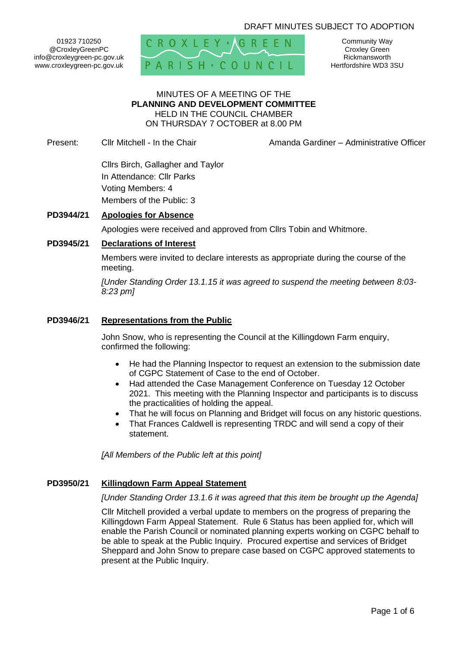# DRAFT MINUTES SUBJECT TO ADOPTION

01923 710250 @CroxleyGreenPC info@croxleygreen-pc.gov.uk www.croxleygreen-pc.gov.uk



Community Way Croxley Green Rickmansworth Hertfordshire WD3 3SU

## MINUTES OF A MEETING OF THE **PLANNING AND DEVELOPMENT COMMITTEE** HELD IN THE COUNCIL CHAMBER ON THURSDAY 7 OCTOBER at 8.00 PM

Present: Cllr Mitchell - In the Chair **Amanda Gardiner – Administrative Officer** 

Cllrs Birch, Gallagher and Taylor In Attendance: Cllr Parks Voting Members: 4 Members of the Public: 3

# **PD3944/21 Apologies for Absence**

Apologies were received and approved from Cllrs Tobin and Whitmore.

## **PD3945/21 Declarations of Interest**

Members were invited to declare interests as appropriate during the course of the meeting.

*[Under Standing Order 13.1.15 it was agreed to suspend the meeting between 8:03- 8:23 pm]*

#### **PD3946/21 Representations from the Public**

John Snow, who is representing the Council at the Killingdown Farm enquiry, confirmed the following:

- He had the Planning Inspector to request an extension to the submission date of CGPC Statement of Case to the end of October.
- Had attended the Case Management Conference on Tuesday 12 October 2021. This meeting with the Planning Inspector and participants is to discuss the practicalities of holding the appeal.
- That he will focus on Planning and Bridget will focus on any historic questions.
- That Frances Caldwell is representing TRDC and will send a copy of their statement.

*[All Members of the Public left at this point]*

#### **PD3950/21 Killingdown Farm Appeal Statement**

*[Under Standing Order 13.1.6 it was agreed that this item be brought up the Agenda]*

Cllr Mitchell provided a verbal update to members on the progress of preparing the Killingdown Farm Appeal Statement. Rule 6 Status has been applied for, which will enable the Parish Council or nominated planning experts working on CGPC behalf to be able to speak at the Public Inquiry. Procured expertise and services of Bridget Sheppard and John Snow to prepare case based on CGPC approved statements to present at the Public Inquiry.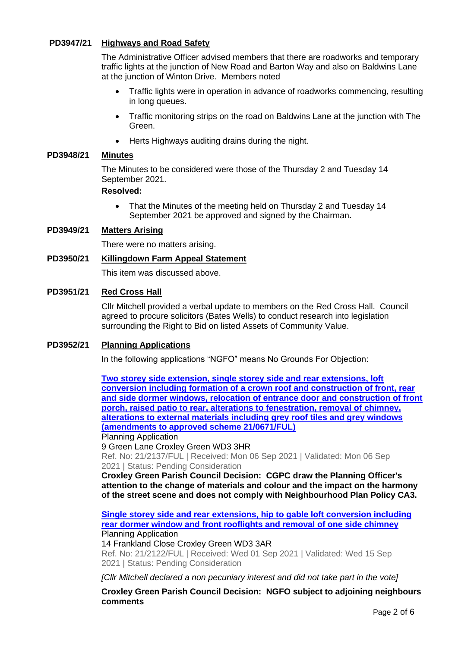# **PD3947/21 Highways and Road Safety**

The Administrative Officer advised members that there are roadworks and temporary traffic lights at the junction of New Road and Barton Way and also on Baldwins Lane at the junction of Winton Drive. Members noted

- Traffic lights were in operation in advance of roadworks commencing, resulting in long queues.
- Traffic monitoring strips on the road on Baldwins Lane at the junction with The Green.
- Herts Highways auditing drains during the night.

#### **PD3948/21 Minutes**

The Minutes to be considered were those of the Thursday 2 and Tuesday 14 September 2021.

#### **Resolved:**

• That the Minutes of the meeting held on Thursday 2 and Tuesday 14 September 2021 be approved and signed by the Chairman**.**

# **PD3949/21 Matters Arising**

There were no matters arising.

# **PD3950/21 Killingdown Farm Appeal Statement**

This item was discussed above.

#### **PD3951/21 Red Cross Hall**

Cllr Mitchell provided a verbal update to members on the Red Cross Hall. Council agreed to procure solicitors (Bates Wells) to conduct research into legislation surrounding the Right to Bid on listed Assets of Community Value.

## **PD3952/21 Planning Applications**

In the following applications "NGFO" means No Grounds For Objection:

**[Two storey side extension, single storey side and rear extensions, loft](https://www3.threerivers.gov.uk/online-applications/applicationDetails.do?activeTab=summary&keyVal=QYWE61QFH6G00&prevPage=inTray)  [conversion including formation of a crown roof and construction of front, rear](https://www3.threerivers.gov.uk/online-applications/applicationDetails.do?activeTab=summary&keyVal=QYWE61QFH6G00&prevPage=inTray)  [and side dormer windows, relocation of entrance door and construction of front](https://www3.threerivers.gov.uk/online-applications/applicationDetails.do?activeTab=summary&keyVal=QYWE61QFH6G00&prevPage=inTray)  [porch, raised patio to rear, alterations to fenestration, removal of chimney,](https://www3.threerivers.gov.uk/online-applications/applicationDetails.do?activeTab=summary&keyVal=QYWE61QFH6G00&prevPage=inTray)  [alterations to external materials including grey roof tiles and grey windows](https://www3.threerivers.gov.uk/online-applications/applicationDetails.do?activeTab=summary&keyVal=QYWE61QFH6G00&prevPage=inTray)  [\(amendments to approved scheme 21/0671/FUL\)](https://www3.threerivers.gov.uk/online-applications/applicationDetails.do?activeTab=summary&keyVal=QYWE61QFH6G00&prevPage=inTray)**

Planning Application

9 Green Lane Croxley Green WD3 3HR Ref. No: 21/2137/FUL | Received: Mon 06 Sep 2021 | Validated: Mon 06 Sep 2021 | Status: Pending Consideration

**Croxley Green Parish Council Decision: CGPC draw the Planning Officer's attention to the change of materials and colour and the impact on the harmony of the street scene and does not comply with Neighbourhood Plan Policy CA3.**

**[Single storey side and rear extensions, hip to gable loft conversion including](https://www3.threerivers.gov.uk/online-applications/applicationDetails.do?activeTab=summary&keyVal=QYR59PQFH5K00&prevPage=inTray)  [rear dormer window and front rooflights and removal of one side chimney](https://www3.threerivers.gov.uk/online-applications/applicationDetails.do?activeTab=summary&keyVal=QYR59PQFH5K00&prevPage=inTray)** Planning Application

14 Frankland Close Croxley Green WD3 3AR

Ref. No: 21/2122/FUL | Received: Wed 01 Sep 2021 | Validated: Wed 15 Sep 2021 | Status: Pending Consideration

*[Cllr Mitchell declared a non pecuniary interest and did not take part in the vote]*

**Croxley Green Parish Council Decision: NGFO subject to adjoining neighbours comments**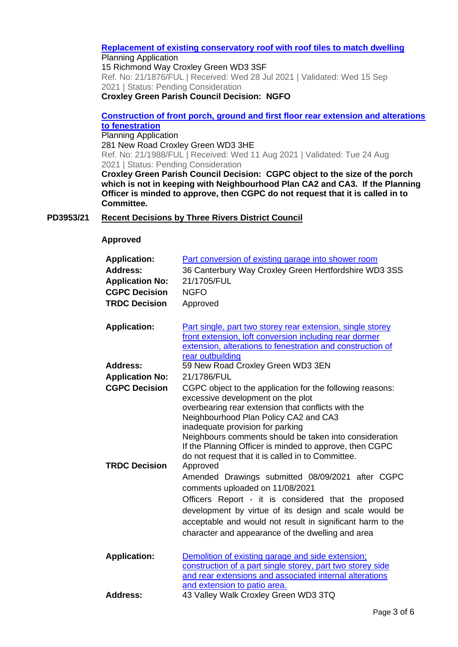# **[Replacement of existing conservatory roof with roof tiles to match dwelling](https://www3.threerivers.gov.uk/online-applications/applicationDetails.do?activeTab=summary&keyVal=QWYBZPQFGRM00&prevPage=inTray)**

Planning Application 15 Richmond Way Croxley Green WD3 3SF Ref. No: 21/1876/FUL | Received: Wed 28 Jul 2021 | Validated: Wed 15 Sep 2021 | Status: Pending Consideration **Croxley Green Parish Council Decision: NGFO**

# **[Construction of front porch, ground and first floor rear extension and alterations](https://www3.threerivers.gov.uk/online-applications/applicationDetails.do?activeTab=summary&keyVal=QXO9ARQFGXS00&prevPage=inTray)  [to fenestration](https://www3.threerivers.gov.uk/online-applications/applicationDetails.do?activeTab=summary&keyVal=QXO9ARQFGXS00&prevPage=inTray)**

Planning Application 281 New Road Croxley Green WD3 3HE Ref. No: 21/1988/FUL | Received: Wed 11 Aug 2021 | Validated: Tue 24 Aug 2021 | Status: Pending Consideration

**Croxley Green Parish Council Decision: CGPC object to the size of the porch which is not in keeping with Neighbourhood Plan CA2 and CA3. If the Planning Officer is minded to approve, then CGPC do not request that it is called in to Committee.**

# **PD3953/21 Recent Decisions by Three Rivers District Council**

# **Approved**

| <b>Application:</b>    | Part conversion of existing garage into shower room                                                               |
|------------------------|-------------------------------------------------------------------------------------------------------------------|
| <b>Address:</b>        | 36 Canterbury Way Croxley Green Hertfordshire WD3 3SS                                                             |
| <b>Application No:</b> | 21/1705/FUL                                                                                                       |
| <b>CGPC Decision</b>   | <b>NGFO</b>                                                                                                       |
| <b>TRDC Decision</b>   | Approved                                                                                                          |
|                        |                                                                                                                   |
| <b>Application:</b>    | Part single, part two storey rear extension, single storey                                                        |
|                        | front extension, loft conversion including rear dormer                                                            |
|                        | extension, alterations to fenestration and construction of                                                        |
|                        | rear outbuilding                                                                                                  |
| Address:               | 59 New Road Croxley Green WD3 3EN                                                                                 |
| <b>Application No:</b> | 21/1786/FUL                                                                                                       |
| <b>CGPC Decision</b>   | CGPC object to the application for the following reasons:                                                         |
|                        | excessive development on the plot                                                                                 |
|                        | overbearing rear extension that conflicts with the                                                                |
|                        | Neighbourhood Plan Policy CA2 and CA3                                                                             |
|                        | inadequate provision for parking                                                                                  |
|                        | Neighbours comments should be taken into consideration<br>If the Planning Officer is minded to approve, then CGPC |
|                        | do not request that it is called in to Committee.                                                                 |
| <b>TRDC Decision</b>   | Approved                                                                                                          |
|                        | Amended Drawings submitted 08/09/2021 after CGPC                                                                  |
|                        | comments uploaded on 11/08/2021                                                                                   |
|                        |                                                                                                                   |
|                        | Officers Report - it is considered that the proposed                                                              |
|                        | development by virtue of its design and scale would be                                                            |
|                        | acceptable and would not result in significant harm to the                                                        |
|                        | character and appearance of the dwelling and area                                                                 |
|                        |                                                                                                                   |
| <b>Application:</b>    | Demolition of existing garage and side extension;                                                                 |
|                        | construction of a part single storey, part two storey side                                                        |
|                        | and rear extensions and associated internal alterations                                                           |
|                        | and extension to patio area.<br>$\cdots$                                                                          |

**Address:** 43 Valley Walk Croxley Green WD3 3TQ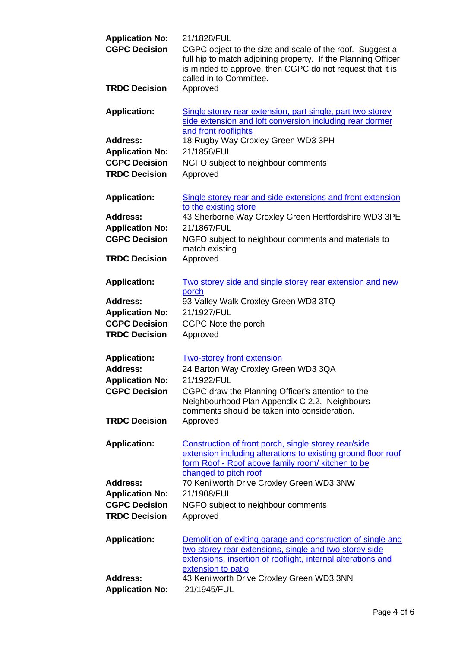| <b>Application No:</b><br><b>CGPC Decision</b>                                            | 21/1828/FUL<br>CGPC object to the size and scale of the roof. Suggest a<br>full hip to match adjoining property. If the Planning Officer<br>is minded to approve, then CGPC do not request that it is<br>called in to Committee. |
|-------------------------------------------------------------------------------------------|----------------------------------------------------------------------------------------------------------------------------------------------------------------------------------------------------------------------------------|
| <b>TRDC Decision</b>                                                                      | Approved                                                                                                                                                                                                                         |
| <b>Application:</b>                                                                       | Single storey rear extension, part single, part two storey<br>side extension and loft conversion including rear dormer                                                                                                           |
| <b>Address:</b><br><b>Application No:</b><br><b>CGPC Decision</b><br><b>TRDC Decision</b> | and front rooflights<br>18 Rugby Way Croxley Green WD3 3PH<br>21/1856/FUL<br>NGFO subject to neighbour comments<br>Approved                                                                                                      |
| <b>Application:</b>                                                                       | Single storey rear and side extensions and front extension<br>to the existing store                                                                                                                                              |
| <b>Address:</b>                                                                           | 43 Sherborne Way Croxley Green Hertfordshire WD3 3PE                                                                                                                                                                             |
| <b>Application No:</b><br><b>CGPC Decision</b>                                            | 21/1867/FUL<br>NGFO subject to neighbour comments and materials to<br>match existing                                                                                                                                             |
| <b>TRDC Decision</b>                                                                      | Approved                                                                                                                                                                                                                         |
| <b>Application:</b>                                                                       | Two storey side and single storey rear extension and new<br>porch                                                                                                                                                                |
| <b>Address:</b>                                                                           | 93 Valley Walk Croxley Green WD3 3TQ                                                                                                                                                                                             |
| <b>Application No:</b>                                                                    | 21/1927/FUL                                                                                                                                                                                                                      |
| <b>CGPC Decision</b>                                                                      | CGPC Note the porch                                                                                                                                                                                                              |
| <b>TRDC Decision</b>                                                                      | Approved                                                                                                                                                                                                                         |
| <b>Application:</b>                                                                       | <b>Two-storey front extension</b>                                                                                                                                                                                                |
| <b>Address:</b>                                                                           | 24 Barton Way Croxley Green WD3 3QA                                                                                                                                                                                              |
| <b>Application No:</b>                                                                    | 21/1922/FUL                                                                                                                                                                                                                      |
| <b>CGPC Decision</b>                                                                      | CGPC draw the Planning Officer's attention to the<br>Neighbourhood Plan Appendix C 2.2. Neighbours                                                                                                                               |
| <b>TRDC Decision</b>                                                                      | comments should be taken into consideration.<br>Approved                                                                                                                                                                         |
| <b>Application:</b>                                                                       | Construction of front porch, single storey rear/side<br>extension including alterations to existing ground floor roof<br>form Roof - Roof above family room/ kitchen to be<br>changed to pitch roof                              |
| <b>Address:</b>                                                                           | 70 Kenilworth Drive Croxley Green WD3 3NW                                                                                                                                                                                        |
| <b>Application No:</b>                                                                    | 21/1908/FUL                                                                                                                                                                                                                      |
| <b>CGPC Decision</b>                                                                      | NGFO subject to neighbour comments                                                                                                                                                                                               |
| <b>TRDC Decision</b>                                                                      | Approved                                                                                                                                                                                                                         |
| <b>Application:</b>                                                                       | Demolition of exiting garage and construction of single and<br>two storey rear extensions, single and two storey side<br>extensions, insertion of rooflight, internal alterations and                                            |
|                                                                                           | extension to patio                                                                                                                                                                                                               |
| <b>Address:</b>                                                                           | 43 Kenilworth Drive Croxley Green WD3 3NN                                                                                                                                                                                        |
| <b>Application No:</b>                                                                    | 21/1945/FUL                                                                                                                                                                                                                      |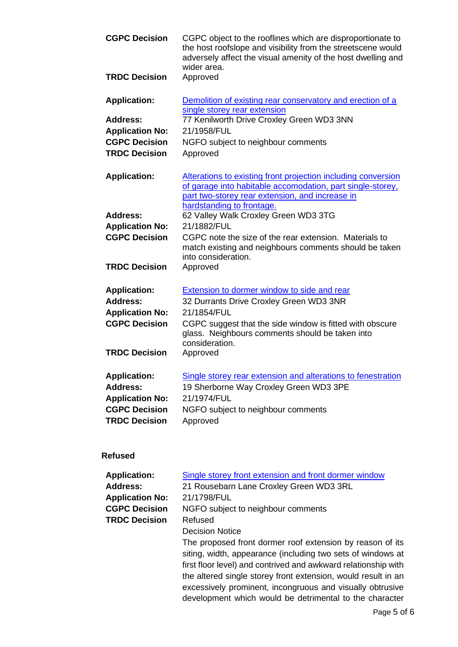| <b>CGPC Decision</b>                                                                     | CGPC object to the rooflines which are disproportionate to<br>the host roofslope and visibility from the streetscene would<br>adversely affect the visual amenity of the host dwelling and<br>wider area. |
|------------------------------------------------------------------------------------------|-----------------------------------------------------------------------------------------------------------------------------------------------------------------------------------------------------------|
| <b>TRDC Decision</b>                                                                     | Approved                                                                                                                                                                                                  |
| <b>Application:</b>                                                                      | Demolition of existing rear conservatory and erection of a<br>single storey rear extension                                                                                                                |
| Address:                                                                                 | 77 Kenilworth Drive Croxley Green WD3 3NN                                                                                                                                                                 |
| <b>Application No:</b>                                                                   | 21/1958/FUL                                                                                                                                                                                               |
| <b>CGPC Decision</b>                                                                     | NGFO subject to neighbour comments                                                                                                                                                                        |
| <b>TRDC Decision</b>                                                                     | Approved                                                                                                                                                                                                  |
| <b>Application:</b>                                                                      | Alterations to existing front projection including conversion                                                                                                                                             |
|                                                                                          | of garage into habitable accomodation, part single-storey,<br>part two-storey rear extension, and increase in<br>hardstanding to frontage.                                                                |
| <b>Address:</b>                                                                          | 62 Valley Walk Croxley Green WD3 3TG                                                                                                                                                                      |
| <b>Application No:</b>                                                                   | 21/1882/FUL                                                                                                                                                                                               |
| <b>CGPC Decision</b>                                                                     | CGPC note the size of the rear extension. Materials to<br>match existing and neighbours comments should be taken<br>into consideration.                                                                   |
| <b>TRDC Decision</b>                                                                     | Approved                                                                                                                                                                                                  |
| <b>Application:</b>                                                                      | Extension to dormer window to side and rear                                                                                                                                                               |
| <b>Address:</b><br><b>Application No:</b>                                                | 32 Durrants Drive Croxley Green WD3 3NR<br>21/1854/FUL                                                                                                                                                    |
| <b>CGPC Decision</b>                                                                     | CGPC suggest that the side window is fitted with obscure<br>glass. Neighbours comments should be taken into<br>consideration.                                                                             |
| <b>TRDC Decision</b>                                                                     | Approved                                                                                                                                                                                                  |
| <b>Application:</b><br><b>Address:</b><br><b>Application No:</b><br><b>CGPC Decision</b> | Single storey rear extension and alterations to fenestration<br>19 Sherborne Way Croxley Green WD3 3PE<br>21/1974/FUL<br>NGFO subject to neighbour comments                                               |
| <b>TRDC Decision</b>                                                                     | Approved                                                                                                                                                                                                  |

# **Refused**

| <b>Application:</b>    | Single storey front extension and front dormer window                                                                                                                                                                                                                                                                                                                               |
|------------------------|-------------------------------------------------------------------------------------------------------------------------------------------------------------------------------------------------------------------------------------------------------------------------------------------------------------------------------------------------------------------------------------|
| Address:               | 21 Rousebarn Lane Croxley Green WD3 3RL                                                                                                                                                                                                                                                                                                                                             |
| <b>Application No:</b> | 21/1798/FUL                                                                                                                                                                                                                                                                                                                                                                         |
| <b>CGPC Decision</b>   | NGFO subject to neighbour comments                                                                                                                                                                                                                                                                                                                                                  |
| <b>TRDC Decision</b>   | Refused                                                                                                                                                                                                                                                                                                                                                                             |
|                        | <b>Decision Notice</b>                                                                                                                                                                                                                                                                                                                                                              |
|                        | The proposed front dormer roof extension by reason of its<br>siting, width, appearance (including two sets of windows at<br>first floor level) and contrived and awkward relationship with<br>the altered single storey front extension, would result in an<br>excessively prominent, incongruous and visually obtrusive<br>development which would be detrimental to the character |